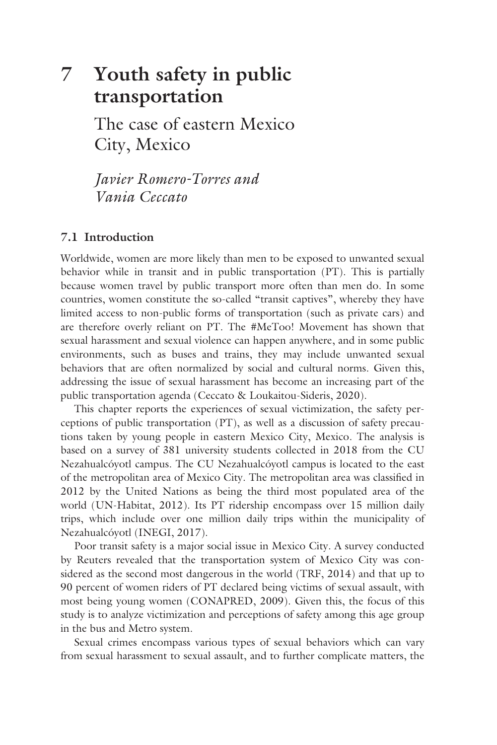# **7 [Youth safety in public](#page--1-0)  transportation**

The case of eastern Mexico City, Mexico

*Javier Romero-Torres and Vania Ceccato*

# **7.1 Introduction**

Worldwide, women are more likely than men to be exposed to unwanted sexual behavior while in transit and in public transportation (PT). This is partially because women travel by public transport more often than men do. In some countries, women constitute the so-called "transit captives", whereby they have limited access to non-public forms of transportation (such as private cars) and are therefore overly reliant on PT. The #MeToo! Movement has shown that sexual harassment and sexual violence can happen anywhere, and in some public environments, such as buses and trains, they may include unwanted sexual behaviors that are often normalized by social and cultural norms. Given this, addressing the issue of sexual harassment has become an increasing part of the public transportation agenda (Ceccato & Loukaitou-Sideris, 2020).

This chapter reports the experiences of sexual victimization, the safety perceptions of public transportation (PT), as well as a discussion of safety precautions taken by young people in eastern Mexico City, Mexico. The analysis is based on a survey of 381 university students collected in 2018 from the CU Nezahualcóyotl campus. The CU Nezahualcóyotl campus is located to the east of the metropolitan area of Mexico City. The metropolitan area was classified in 2012 by the United Nations as being the third most populated area of the world (UN-Habitat, 2012). Its PT ridership encompass over 15 million daily trips, which include over one million daily trips within the municipality of Nezahualcóyotl (INEGI, 2017).

Poor transit safety is a major social issue in Mexico City. A survey conducted by Reuters revealed that the transportation system of Mexico City was considered as the second most dangerous in the world (TRF, 2014) and that up to 90 percent of women riders of PT declared being victims of sexual assault, with most being young women (CONAPRED, 2009). Given this, the focus of this study is to analyze victimization and perceptions of safety among this age group in the bus and Metro system.

Sexual crimes encompass various types of sexual behaviors which can vary from sexual harassment to sexual assault, and to further complicate matters, the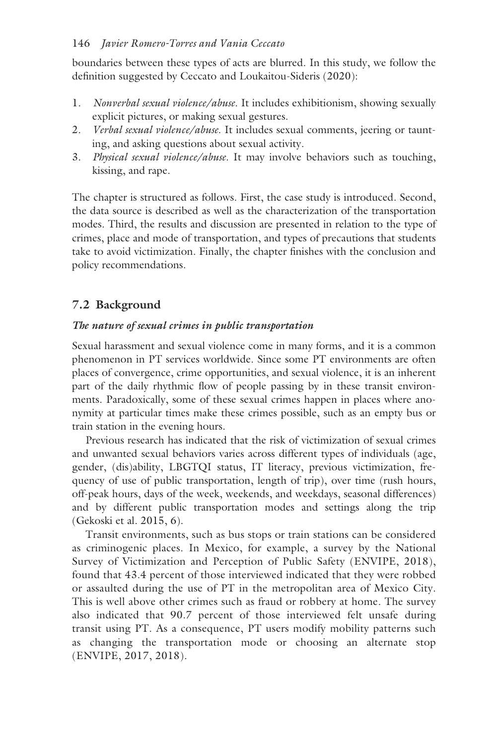## 146 *Javier Romero-Torres and Vania Ceccato*

boundaries between these types of acts are blurred. In this study, we follow the definition suggested by Ceccato and Loukaitou-Sideris (2020):

- 1. *Nonverbal sexual violence/abuse*. It includes exhibitionism, showing sexually explicit pictures, or making sexual gestures.
- 2. *Verbal sexual violence/abuse*. It includes sexual comments, jeering or taunting, and asking questions about sexual activity.
- 3. *Physical sexual violence/abuse*. It may involve behaviors such as touching, kissing, and rape.

The chapter is structured as follows. First, the case study is introduced. Second, the data source is described as well as the characterization of the transportation modes. Third, the results and discussion are presented in relation to the type of crimes, place and mode of transportation, and types of precautions that students take to avoid victimization. Finally, the chapter finishes with the conclusion and policy recommendations.

# **7.2 Background**

## *The nature of sexual crimes in public transportation*

Sexual harassment and sexual violence come in many forms, and it is a common phenomenon in PT services worldwide. Since some PT environments are often places of convergence, crime opportunities, and sexual violence, it is an inherent part of the daily rhythmic flow of people passing by in these transit environments. Paradoxically, some of these sexual crimes happen in places where anonymity at particular times make these crimes possible, such as an empty bus or train station in the evening hours.

Previous research has indicated that the risk of victimization of sexual crimes and unwanted sexual behaviors varies across different types of individuals (age, gender, (dis)ability, LBGTQI status, IT literacy, previous victimization, frequency of use of public transportation, length of trip), over time (rush hours, off-peak hours, days of the week, weekends, and weekdays, seasonal differences) and by different public transportation modes and settings along the trip (Gekoski et al. 2015, 6).

Transit environments, such as bus stops or train stations can be considered as criminogenic places. In Mexico, for example, a survey by the National Survey of Victimization and Perception of Public Safety (ENVIPE, 2018), found that 43.4 percent of those interviewed indicated that they were robbed or assaulted during the use of PT in the metropolitan area of Mexico City. This is well above other crimes such as fraud or robbery at home. The survey also indicated that 90.7 percent of those interviewed felt unsafe during transit using PT. As a consequence, PT users modify mobility patterns such as changing the transportation mode or choosing an alternate stop (ENVIPE, 2017, 2018).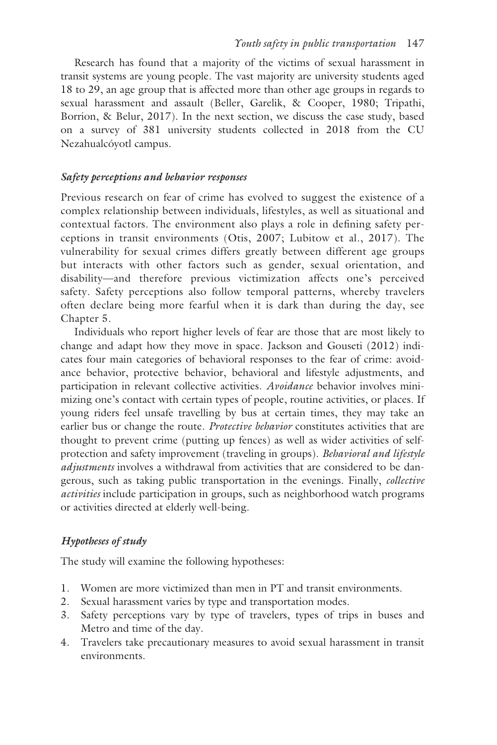Research has found that a majority of the victims of sexual harassment in transit systems are young people. The vast majority are university students aged 18 to 29, an age group that is affected more than other age groups in regards to sexual harassment and assault (Beller, Garelik, & Cooper, 1980; Tripathi, Borrion, & Belur, 2017). In the next section, we discuss the case study, based on a survey of 381 university students collected in 2018 from the CU Nezahualcóyotl campus.

### *Safety perceptions and behavior responses*

Previous research on fear of crime has evolved to suggest the existence of a complex relationship between individuals, lifestyles, as well as situational and contextual factors. The environment also plays a role in defining safety perceptions in transit environments (Otis, 2007; Lubitow et al., 2017). The vulnerability for sexual crimes differs greatly between different age groups but interacts with other factors such as gender, sexual orientation, and disability—and therefore previous victimization affects one's perceived safety. Safety perceptions also follow temporal patterns, whereby travelers often declare being more fearful when it is dark than during the day, see [Chapter 5.](#page--1-0)

Individuals who report higher levels of fear are those that are most likely to change and adapt how they move in space. Jackson and Gouseti (2012) indicates four main categories of behavioral responses to the fear of crime: avoidance behavior, protective behavior, behavioral and lifestyle adjustments, and participation in relevant collective activities. *Avoidance* behavior involves minimizing one's contact with certain types of people, routine activities, or places. If young riders feel unsafe travelling by bus at certain times, they may take an earlier bus or change the route. *Protective behavior* constitutes activities that are thought to prevent crime (putting up fences) as well as wider activities of selfprotection and safety improvement (traveling in groups). *Behavioral and lifestyle adjustments* involves a withdrawal from activities that are considered to be dangerous, such as taking public transportation in the evenings. Finally, *collective activities* include participation in groups, such as neighborhood watch programs or activities directed at elderly well-being.

#### *Hypotheses of study*

The study will examine the following hypotheses:

- 1. Women are more victimized than men in PT and transit environments.
- 2. Sexual harassment varies by type and transportation modes.
- 3. Safety perceptions vary by type of travelers, types of trips in buses and Metro and time of the day.
- 4. Travelers take precautionary measures to avoid sexual harassment in transit environments.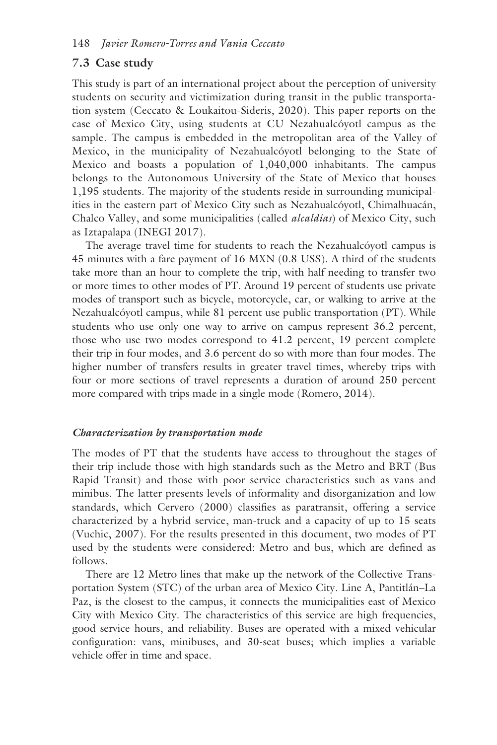## **7.3 Case study**

This study is part of an international project about the perception of university students on security and victimization during transit in the public transportation system (Ceccato & Loukaitou-Sideris, 2020). This paper reports on the case of Mexico City, using students at CU Nezahualcóyotl campus as the sample. The campus is embedded in the metropolitan area of the Valley of Mexico, in the municipality of Nezahualcóyotl belonging to the State of Mexico and boasts a population of 1,040,000 inhabitants. The campus belongs to the Autonomous University of the State of Mexico that houses 1,195 students. The majority of the students reside in surrounding municipalities in the eastern part of Mexico City such as Nezahualcóyotl, Chimalhuacán, Chalco Valley, and some municipalities (called *alcaldías*) of Mexico City, such as Iztapalapa (INEGI 2017).

The average travel time for students to reach the Nezahualcóyotl campus is 45 minutes with a fare payment of 16 MXN (0.8 US\$). A third of the students take more than an hour to complete the trip, with half needing to transfer two or more times to other modes of PT. Around 19 percent of students use private modes of transport such as bicycle, motorcycle, car, or walking to arrive at the Nezahualcóyotl campus, while 81 percent use public transportation (PT). While students who use only one way to arrive on campus represent 36.2 percent, those who use two modes correspond to 41.2 percent, 19 percent complete their trip in four modes, and 3.6 percent do so with more than four modes. The higher number of transfers results in greater travel times, whereby trips with four or more sections of travel represents a duration of around 250 percent more compared with trips made in a single mode (Romero, 2014).

#### *Characterization by transportation mode*

The modes of PT that the students have access to throughout the stages of their trip include those with high standards such as the Metro and BRT (Bus Rapid Transit) and those with poor service characteristics such as vans and minibus. The latter presents levels of informality and disorganization and low standards, which Cervero (2000) classifies as paratransit, offering a service characterized by a hybrid service, man-truck and a capacity of up to 15 seats (Vuchic, 2007). For the results presented in this document, two modes of PT used by the students were considered: Metro and bus, which are defined as follows.

There are 12 Metro lines that make up the network of the Collective Transportation System (STC) of the urban area of Mexico City. Line A, Pantitlán–La Paz, is the closest to the campus, it connects the municipalities east of Mexico City with Mexico City. The characteristics of this service are high frequencies, good service hours, and reliability. Buses are operated with a mixed vehicular configuration: vans, minibuses, and 30-seat buses; which implies a variable vehicle offer in time and space.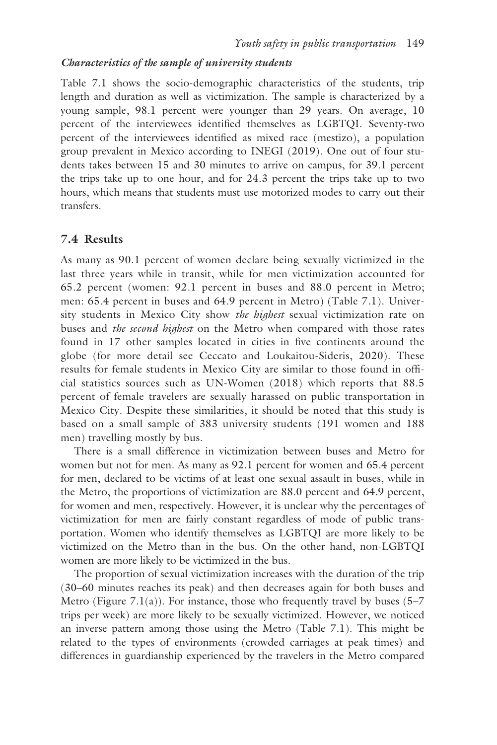#### *Characteristics of the sample of university students*

[Table 7.1](#page--1-0) shows the socio-demographic characteristics of the students, trip length and duration as well as victimization. The sample is characterized by a young sample, 98.1 percent were younger than 29 years. On average, 10 percent of the interviewees identified themselves as LGBTQI. Seventy-two percent of the interviewees identified as mixed race (mestizo), a population group prevalent in Mexico according to INEGI (2019). One out of four students takes between 15 and 30 minutes to arrive on campus, for 39.1 percent the trips take up to one hour, and for 24.3 percent the trips take up to two hours, which means that students must use motorized modes to carry out their transfers.

## **7.4 Results**

As many as 90.1 percent of women declare being sexually victimized in the last three years while in transit, while for men victimization accounted for 65.2 percent (women: 92.1 percent in buses and 88.0 percent in Metro; men: 65.4 percent in buses and 64.9 percent in Metro) [\(Table 7.1\)](#page--1-0). University students in Mexico City show *the highest* sexual victimization rate on buses and *the second highest* on the Metro when compared with those rates found in 17 other samples located in cities in five continents around the globe (for more detail see Ceccato and Loukaitou-Sideris, 2020). These results for female students in Mexico City are similar to those found in official statistics sources such as UN-Women (2018) which reports that 88.5 percent of female travelers are sexually harassed on public transportation in Mexico City. Despite these similarities, it should be noted that this study is based on a small sample of 383 university students (191 women and 188 men) travelling mostly by bus.

There is a small difference in victimization between buses and Metro for women but not for men. As many as 92.1 percent for women and 65.4 percent for men, declared to be victims of at least one sexual assault in buses, while in the Metro, the proportions of victimization are 88.0 percent and 64.9 percent, for women and men, respectively. However, it is unclear why the percentages of victimization for men are fairly constant regardless of mode of public transportation. Women who identify themselves as LGBTQI are more likely to be victimized on the Metro than in the bus. On the other hand, non-LGBTQI women are more likely to be victimized in the bus.

The proportion of sexual victimization increases with the duration of the trip (30–60 minutes reaches its peak) and then decreases again for both buses and Metro [\(Figure 7.1\(a\)\)](#page--1-0). For instance, those who frequently travel by buses  $(5-7)$ trips per week) are more likely to be sexually victimized. However, we noticed an inverse pattern among those using the Metro [\(Table 7.1\)](#page--1-0). This might be related to the types of environments (crowded carriages at peak times) and differences in guardianship experienced by the travelers in the Metro compared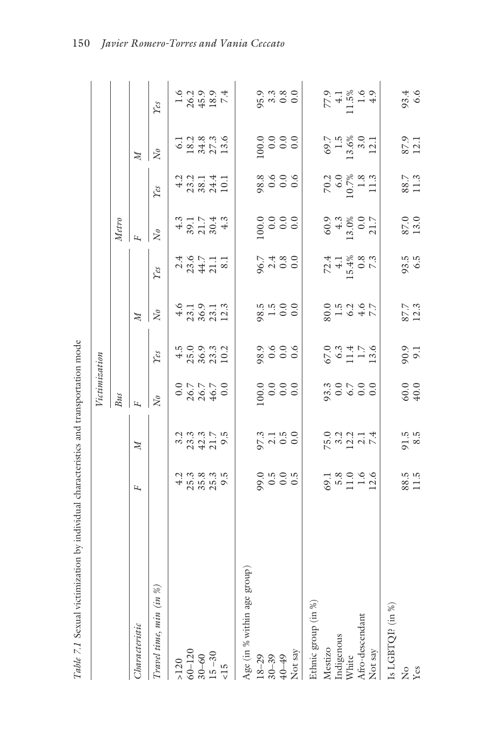|                                  |                                           |                             | Victimization                                           |                                              |                                                |                                                                                                                                                                                                                                |                                                           |                                                                    |                                                                     |                                                                          |
|----------------------------------|-------------------------------------------|-----------------------------|---------------------------------------------------------|----------------------------------------------|------------------------------------------------|--------------------------------------------------------------------------------------------------------------------------------------------------------------------------------------------------------------------------------|-----------------------------------------------------------|--------------------------------------------------------------------|---------------------------------------------------------------------|--------------------------------------------------------------------------|
|                                  |                                           |                             | B <sub>us</sub>                                         |                                              |                                                |                                                                                                                                                                                                                                | Metro                                                     |                                                                    |                                                                     |                                                                          |
| Characteristic                   | д,                                        | $\mathbb{N}$                | E                                                       |                                              | $\overline{M}$                                 |                                                                                                                                                                                                                                |                                                           |                                                                    | $\overline{M}$                                                      |                                                                          |
| Travel time, min (in $\%$ )      |                                           |                             | $\overline{N}$                                          | $\gamma_{\mathcal{E}}$                       | $\bar{N}$                                      | $\gamma_{\ell s}$                                                                                                                                                                                                              | $\bar{N}$                                                 | $\gamma_{\mathcal{E}}$                                             | $\rm N_o$                                                           | $\gamma_{\mathcal{E}}$                                                   |
| $>120$                           |                                           |                             |                                                         |                                              |                                                |                                                                                                                                                                                                                                |                                                           |                                                                    |                                                                     |                                                                          |
| $60 - 120$                       |                                           |                             |                                                         | $4509$<br>$2509$<br>$2503$<br>$102$<br>$102$ | $45.3$<br>$73.5$<br>$73.5$<br>$73.3$<br>$12.3$ | $2, 4, 6, 7, 7, 7, 8, 7, 7, 8, 7, 8, 7, 8, 7, 8, 7, 8, 7, 8, 7, 8, 7, 8, 7, 8, 7, 8, 7, 8, 7, 8, 7, 8, 7, 8, 7, 8, 7, 8, 7, 8, 7, 8, 7, 8, 7, 8, 7, 8, 7, 8, 7, 8, 7, 8, 7, 8, 7, 8, 7, 8, 7, 8, 7, 8, 7, 8, 7, 8, 7, 8, 7, 8$ | $487740$<br>$487940$                                      | $43.344$<br>$73.841$<br>$74.1$<br>$74.1$                           | 0.1336<br>13450.135                                                 | $\begin{array}{c} 1.6 \\ 2.6 \\ 2.9 \\ 4.9 \\ 2.9 \\ 7.4 \\ \end{array}$ |
| $30 - 60$                        |                                           |                             |                                                         |                                              |                                                |                                                                                                                                                                                                                                |                                                           |                                                                    |                                                                     |                                                                          |
| $15 - 30$                        |                                           |                             |                                                         |                                              |                                                |                                                                                                                                                                                                                                |                                                           |                                                                    |                                                                     |                                                                          |
| $\frac{5}{2}$                    |                                           |                             |                                                         |                                              |                                                |                                                                                                                                                                                                                                |                                                           |                                                                    |                                                                     |                                                                          |
| (dno.<br>Age (in % within age gr |                                           |                             |                                                         |                                              |                                                |                                                                                                                                                                                                                                |                                                           |                                                                    |                                                                     |                                                                          |
| $18 - 29$                        |                                           |                             |                                                         |                                              |                                                |                                                                                                                                                                                                                                |                                                           |                                                                    |                                                                     |                                                                          |
| $30 - 39$                        |                                           |                             |                                                         |                                              |                                                |                                                                                                                                                                                                                                |                                                           |                                                                    |                                                                     |                                                                          |
| $40 - 49$                        |                                           | $97.190$<br>$0.190$         | $\begin{array}{c} 0.0 \\ 0.0 \\ 0.0 \\ 0.0 \end{array}$ |                                              | $8.1000$<br>$0.000$                            | $8480$<br>$0000$                                                                                                                                                                                                               | $\begin{array}{c} 0.0000 \\ 0.0000 \\ \hline \end{array}$ |                                                                    | $\begin{array}{c} 0.0 \\ 0.0 \\ 0.0 \\ 0.0 \end{array}$             |                                                                          |
| Not say                          | 0.9900                                    |                             |                                                         |                                              |                                                |                                                                                                                                                                                                                                |                                                           |                                                                    |                                                                     | $95.380$<br>$9.380$                                                      |
| Ethnic group (in %)              |                                           |                             |                                                         |                                              |                                                |                                                                                                                                                                                                                                |                                                           |                                                                    |                                                                     |                                                                          |
| Mestizo                          |                                           |                             |                                                         |                                              |                                                |                                                                                                                                                                                                                                |                                                           |                                                                    |                                                                     |                                                                          |
| Indigenous                       |                                           |                             |                                                         |                                              |                                                |                                                                                                                                                                                                                                |                                                           |                                                                    |                                                                     |                                                                          |
| White                            | $69.1$<br>$69.0$<br>$11.6$<br>$12.6$      | $75.3$<br>$73.14$<br>$74.4$ |                                                         | $67.0$<br>$6.3$<br>$1.7$<br>$-1.3$<br>$-1.3$ | $80.767$<br>$-6.477$                           | $72.4$<br>$4.1$<br>$4.4\%$<br>$15.4\%$<br>$7.3$                                                                                                                                                                                | $60.9$<br>$4.3$<br>$13.0\%$<br>$21.7$                     | $\begin{array}{c} 70.2 \\ 6.0 \\ 10.7\% \\ 1.3 \\ 1.3 \end{array}$ | $\begin{array}{c} 69.7 \\ 1.5 \\ 13.6\% \\ 3.0 \\ 12.1 \end{array}$ | $77.48$<br>1.5%<br>1.69<br>1.42                                          |
| Afro-descendant                  |                                           |                             |                                                         |                                              |                                                |                                                                                                                                                                                                                                |                                                           |                                                                    |                                                                     |                                                                          |
| Not say                          |                                           |                             |                                                         |                                              |                                                |                                                                                                                                                                                                                                |                                                           |                                                                    |                                                                     |                                                                          |
| Is LGBTQI? (in %)                |                                           |                             |                                                         |                                              |                                                |                                                                                                                                                                                                                                |                                                           |                                                                    |                                                                     |                                                                          |
| $\frac{1}{2}$                    | $\begin{array}{c} 8.5 \\ 1.5 \end{array}$ | $91.5$<br>8.5               |                                                         | 90.9<br>9.1                                  | 87.7<br>12.3                                   | 93.5<br>6.5                                                                                                                                                                                                                    | $\begin{array}{c} 87.0 \\ 13.0 \end{array}$               | 88.7<br>11.3                                                       | 87.9                                                                |                                                                          |
| Yes                              |                                           |                             | $60.0$<br>40.0                                          |                                              |                                                |                                                                                                                                                                                                                                |                                                           |                                                                    |                                                                     | 93.4<br>6.6                                                              |

Table 7.1 Sexual victimization by individual characteristics and transportation mode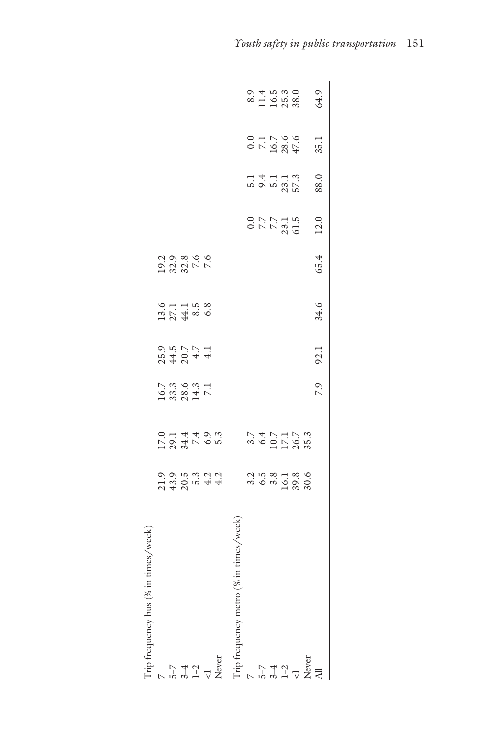| $\frac{1}{2}$                            |                   | 1223<br>124105<br>1241051 | $\begin{array}{l} 16.7 \\ 33.3 \\ 28.4 \\ 7.1 \end{array}$ | $25.7$<br>$24.7$<br>$24.7$<br>$4.1$<br>$4.1$ | $13.71$<br>$27.1$<br>$44.5$<br>$6.8$ |      |                                      |                            |                                     |                             |
|------------------------------------------|-------------------|---------------------------|------------------------------------------------------------|----------------------------------------------|--------------------------------------|------|--------------------------------------|----------------------------|-------------------------------------|-----------------------------|
|                                          |                   |                           |                                                            |                                              |                                      |      |                                      |                            |                                     |                             |
| $3 - 4$                                  |                   |                           |                                                            |                                              |                                      |      |                                      |                            |                                     |                             |
|                                          |                   |                           |                                                            |                                              |                                      |      |                                      |                            |                                     |                             |
|                                          |                   |                           |                                                            |                                              |                                      |      |                                      |                            |                                     |                             |
| imes/week<br>This frequency metro ( $\%$ |                   |                           |                                                            |                                              |                                      |      |                                      |                            |                                     |                             |
|                                          |                   |                           |                                                            |                                              |                                      |      |                                      |                            |                                     |                             |
| $\frac{1}{2}$                            |                   |                           |                                                            |                                              |                                      |      |                                      |                            |                                     |                             |
|                                          | 2<br>2020<br>2020 | $3.747777738887777888$    |                                                            |                                              |                                      |      | $0.77$<br>$7.7$<br>$7.3.1$<br>$61.5$ | 5.1<br>9.4<br>57.3<br>57.3 | $0.0$<br>7.16.7<br>18.5<br>47<br>47 | 8.9<br>116.38.0<br>116.38.0 |
| $1 - 2$                                  |                   |                           |                                                            |                                              |                                      |      |                                      |                            |                                     |                             |
|                                          |                   |                           |                                                            |                                              |                                      |      |                                      |                            |                                     |                             |
|                                          |                   |                           |                                                            |                                              |                                      |      |                                      |                            |                                     |                             |
|                                          |                   |                           | 7.9                                                        | 92.1                                         | 34.6                                 | 65.4 | 12.0                                 | 88.0                       | 35.1                                | 64.9                        |
|                                          |                   |                           |                                                            |                                              |                                      |      |                                      |                            |                                     |                             |

Trip frequency bus (% in times/week)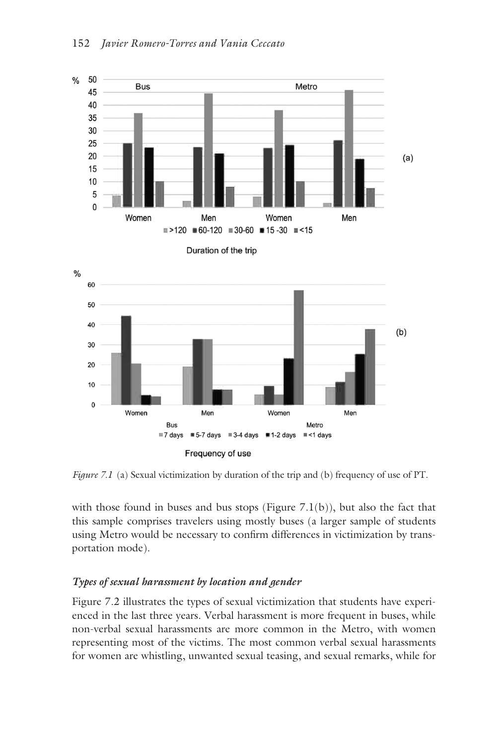

*[Figure 7.1](#page--1-0)* (a) Sexual victimization by duration of the trip and (b) frequency of use of PT.

with those found in buses and bus stops (Figure  $7.1(b)$ ), but also the fact that this sample comprises travelers using mostly buses (a larger sample of students using Metro would be necessary to confirm differences in victimization by transportation mode).

## *Types of sexual harassment by location and gender*

[Figure 7.2](#page--1-0) illustrates the types of sexual victimization that students have experienced in the last three years. Verbal harassment is more frequent in buses, while non-verbal sexual harassments are more common in the Metro, with women representing most of the victims. The most common verbal sexual harassments for women are whistling, unwanted sexual teasing, and sexual remarks, while for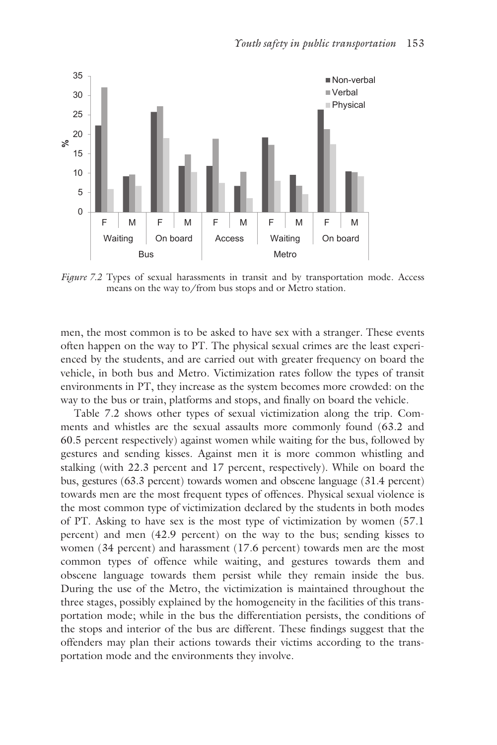

*[Figure 7.2](#page--1-0)* Types of sexual harassments in transit and by transportation mode. Access means on the way to/from bus stops and or Metro station.

men, the most common is to be asked to have sex with a stranger. These events often happen on the way to PT. The physical sexual crimes are the least experienced by the students, and are carried out with greater frequency on board the vehicle, in both bus and Metro. Victimization rates follow the types of transit environments in PT, they increase as the system becomes more crowded: on the way to the bus or train, platforms and stops, and finally on board the vehicle.

[Table 7.2](#page--1-0) shows other types of sexual victimization along the trip. Comments and whistles are the sexual assaults more commonly found (63.2 and 60.5 percent respectively) against women while waiting for the bus, followed by gestures and sending kisses. Against men it is more common whistling and stalking (with 22.3 percent and 17 percent, respectively). While on board the bus, gestures (63.3 percent) towards women and obscene language (31.4 percent) towards men are the most frequent types of offences. Physical sexual violence is the most common type of victimization declared by the students in both modes of PT. Asking to have sex is the most type of victimization by women (57.1 percent) and men (42.9 percent) on the way to the bus; sending kisses to women (34 percent) and harassment (17.6 percent) towards men are the most common types of offence while waiting, and gestures towards them and obscene language towards them persist while they remain inside the bus. During the use of the Metro, the victimization is maintained throughout the three stages, possibly explained by the homogeneity in the facilities of this transportation mode; while in the bus the differentiation persists, the conditions of the stops and interior of the bus are different. These findings suggest that the offenders may plan their actions towards their victims according to the transportation mode and the environments they involve.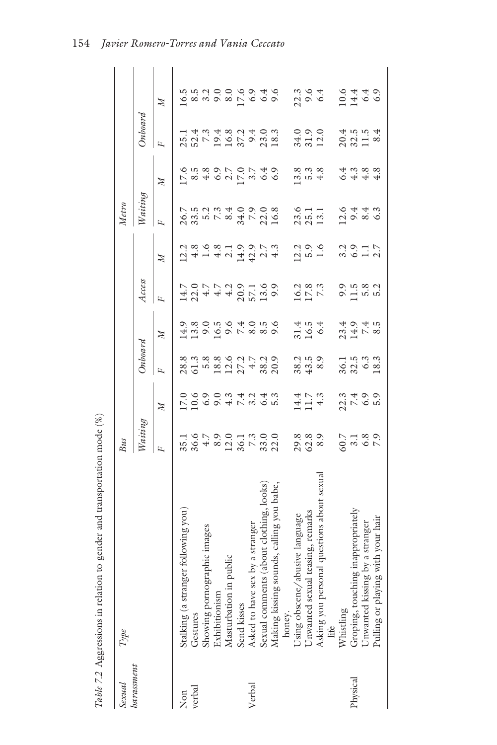| Sexual     | Type                                               | Bus                                                                                                                                                                                                                                                                                   |                                                                   |                                            |                               |                                  |                          | Metro                                                                                                         |                                                                |                             |                                                                                                                                                                                                                                                                                                     |
|------------|----------------------------------------------------|---------------------------------------------------------------------------------------------------------------------------------------------------------------------------------------------------------------------------------------------------------------------------------------|-------------------------------------------------------------------|--------------------------------------------|-------------------------------|----------------------------------|--------------------------|---------------------------------------------------------------------------------------------------------------|----------------------------------------------------------------|-----------------------------|-----------------------------------------------------------------------------------------------------------------------------------------------------------------------------------------------------------------------------------------------------------------------------------------------------|
| harassment |                                                    | Waiting                                                                                                                                                                                                                                                                               |                                                                   | Onboard                                    |                               | Access                           |                          | Waiting                                                                                                       |                                                                | Onboard                     |                                                                                                                                                                                                                                                                                                     |
|            |                                                    | д                                                                                                                                                                                                                                                                                     | $\mathbb{N}$                                                      | д                                          | $\mathbb{Z}$                  |                                  | $\mathbb{Z}$             | д                                                                                                             | $\mathbb{N}$                                                   | ц                           | $\overline{M}$                                                                                                                                                                                                                                                                                      |
| Non        | following you)<br>Stalking (a stranger             |                                                                                                                                                                                                                                                                                       |                                                                   |                                            |                               |                                  |                          |                                                                                                               |                                                                |                             |                                                                                                                                                                                                                                                                                                     |
| verbal     | Gestures                                           |                                                                                                                                                                                                                                                                                       |                                                                   |                                            |                               |                                  |                          |                                                                                                               |                                                                |                             |                                                                                                                                                                                                                                                                                                     |
|            | Showing pornographic images                        |                                                                                                                                                                                                                                                                                       |                                                                   |                                            |                               |                                  |                          |                                                                                                               |                                                                |                             |                                                                                                                                                                                                                                                                                                     |
|            | Exhibitionism                                      |                                                                                                                                                                                                                                                                                       |                                                                   |                                            |                               |                                  |                          |                                                                                                               |                                                                |                             |                                                                                                                                                                                                                                                                                                     |
|            | ablic<br>Masturbation in pu                        | $\begin{array}{c} 35.00000 \\ 35.00000 \\ 35.00000 \\ 35.00000 \\ 35.00000 \\ 35.0000 \\ 35.0000 \\ 35.0000 \\ 35.0000 \\ 35.0000 \\ 35.0000 \\ 35.0000 \\ 35.0000 \\ 35.0000 \\ 35.0000 \\ 35.0000 \\ 35.0000 \\ 35.0000 \\ 35.0000 \\ 35.0000 \\ 35.0000 \\ 35.0000 \\ 35.0000 \\ $ | C C C C C H L W O N<br>C C C C C H L W O N<br>C C C C C H L W O N |                                            | $113000000000000000$          | $129777977897789777997444805509$ |                          | 2020 2020 2021 2022 2022 2022 2023 2024 2025 2026 2027 2028 2024 2025 2026 2027 2028 2024 2025 2026 2027 2028 | U xa 4 0 0 1 U 4 0 0<br>O 4 0 0 1 U 4 0 0<br>O 4 0 0 1 U 4 0 0 |                             |                                                                                                                                                                                                                                                                                                     |
|            | Send kisses                                        |                                                                                                                                                                                                                                                                                       |                                                                   |                                            |                               |                                  |                          |                                                                                                               |                                                                |                             |                                                                                                                                                                                                                                                                                                     |
| Verbal     | by a stranger<br>Asked to have sex                 |                                                                                                                                                                                                                                                                                       |                                                                   |                                            |                               |                                  |                          |                                                                                                               |                                                                |                             |                                                                                                                                                                                                                                                                                                     |
|            | about clothing, looks)<br>Sexual comments          |                                                                                                                                                                                                                                                                                       |                                                                   |                                            |                               |                                  |                          |                                                                                                               |                                                                |                             |                                                                                                                                                                                                                                                                                                     |
|            | Making kissing sounds, calling you babe,<br>honey. |                                                                                                                                                                                                                                                                                       |                                                                   |                                            |                               |                                  |                          |                                                                                                               |                                                                |                             | $\begin{array}{l} 16.69 \\ 0.804 \\ 0.904 \\ 0.904 \\ 0.904 \\ 0.904 \\ 0.904 \\ 0.904 \\ 0.904 \\ 0.904 \\ 0.904 \\ 0.904 \\ 0.904 \\ 0.904 \\ 0.904 \\ 0.904 \\ 0.904 \\ 0.904 \\ 0.904 \\ 0.904 \\ 0.904 \\ 0.904 \\ 0.904 \\ 0.904 \\ 0.904 \\ 0.904 \\ 0.904 \\ 0.904 \\ 0.904 \\ 0.904 \\ 0.$ |
|            | Using obscene/abusive language                     |                                                                                                                                                                                                                                                                                       |                                                                   |                                            |                               |                                  |                          |                                                                                                               |                                                                |                             |                                                                                                                                                                                                                                                                                                     |
|            | Unwanted sexual teasing, remarks                   | 29.39<br>20.39                                                                                                                                                                                                                                                                        | $14.7$<br>$11.7$<br>$4.3$                                         | $38.45$<br>43<br>43                        | $31.4$<br>$16.5$<br>$6.4$     | $16.3$<br>$17.8$<br>7.3          | $12.9$<br>$5.9$<br>$1.6$ | 23.1<br>25.1<br>13.1                                                                                          |                                                                | $34.0$<br>$31.2.0$          | 22.3<br>9.64                                                                                                                                                                                                                                                                                        |
|            | Asking you personal questions about sexual<br>life |                                                                                                                                                                                                                                                                                       |                                                                   |                                            |                               |                                  |                          |                                                                                                               |                                                                |                             |                                                                                                                                                                                                                                                                                                     |
|            | Whistling                                          |                                                                                                                                                                                                                                                                                       |                                                                   |                                            |                               |                                  |                          |                                                                                                               |                                                                |                             |                                                                                                                                                                                                                                                                                                     |
| Physical   | inappropriately<br>Groping, touching               |                                                                                                                                                                                                                                                                                       | 21<br>21<br>20<br>20                                              | $36.1$<br>$3.3$<br>$3.3$<br>$3.3$<br>$3.3$ | $234040$<br>$24780$<br>$2478$ | 0.11 x x x<br>0.11 x x x         | $20017$<br>$3017$        | $23 - 8$<br>$-2$<br>$-3$<br>$-6$<br>$-6$<br>$-6$<br>$-6$<br>$-6$<br>$-6$                                      | 4 m so so<br>6 4 4 4                                           | $20.4$<br>$3.21.5$<br>$8.4$ | $\begin{array}{c} 0.6 \\ 0.4 \\ 0.9 \\ 0.0 \\ \hline \end{array}$                                                                                                                                                                                                                                   |
|            | by a stranger<br><b>Jnwanted</b> kissing           |                                                                                                                                                                                                                                                                                       |                                                                   |                                            |                               |                                  |                          |                                                                                                               |                                                                |                             |                                                                                                                                                                                                                                                                                                     |
|            | Pulling or playing with your hair                  |                                                                                                                                                                                                                                                                                       |                                                                   |                                            |                               |                                  |                          |                                                                                                               |                                                                |                             |                                                                                                                                                                                                                                                                                                     |

Table 7.2 Aggressions in relation to gender and transportation mode  $(\%)$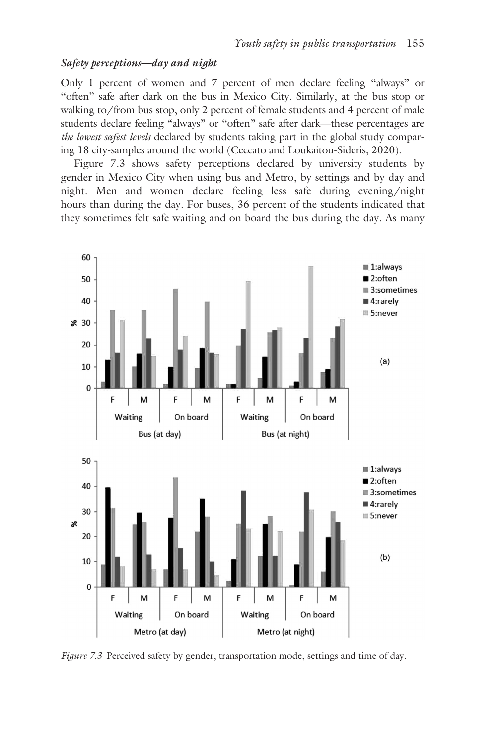#### *Safety perceptions—day and night*

Only 1 percent of women and 7 percent of men declare feeling "always" or "often" safe after dark on the bus in Mexico City. Similarly, at the bus stop or walking to/from bus stop, only 2 percent of female students and 4 percent of male students declare feeling "always" or "often" safe after dark—these percentages are *the lowest safest levels* declared by students taking part in the global study comparing 18 city-samples around the world (Ceccato and Loukaitou-Sideris, 2020).

[Figure 7.3](#page--1-0) shows safety perceptions declared by university students by gender in Mexico City when using bus and Metro, by settings and by day and night. Men and women declare feeling less safe during evening/night hours than during the day. For buses, 36 percent of the students indicated that they sometimes felt safe waiting and on board the bus during the day. As many



*[Figure 7.3](#page--1-0)* Perceived safety by gender, transportation mode, settings and time of day.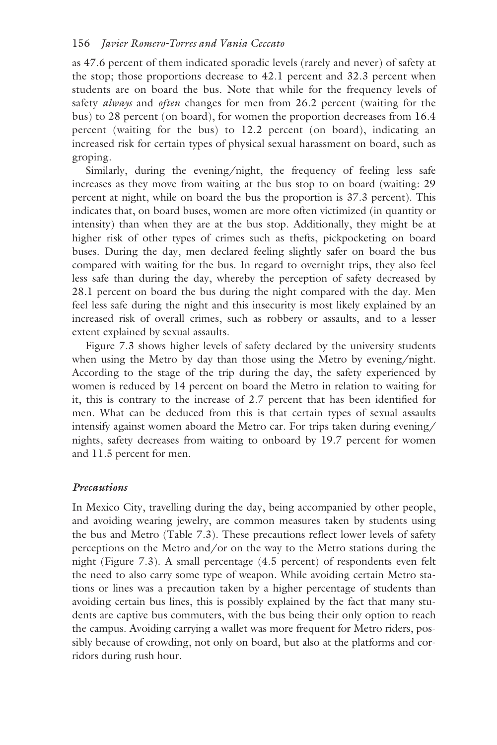as 47.6 percent of them indicated sporadic levels (rarely and never) of safety at the stop; those proportions decrease to 42.1 percent and 32.3 percent when students are on board the bus. Note that while for the frequency levels of safety *always* and *often* changes for men from 26.2 percent (waiting for the bus) to 28 percent (on board), for women the proportion decreases from 16.4 percent (waiting for the bus) to 12.2 percent (on board), indicating an increased risk for certain types of physical sexual harassment on board, such as groping.

Similarly, during the evening/night, the frequency of feeling less safe increases as they move from waiting at the bus stop to on board (waiting: 29 percent at night, while on board the bus the proportion is 37.3 percent). This indicates that, on board buses, women are more often victimized (in quantity or intensity) than when they are at the bus stop. Additionally, they might be at higher risk of other types of crimes such as thefts, pickpocketing on board buses. During the day, men declared feeling slightly safer on board the bus compared with waiting for the bus. In regard to overnight trips, they also feel less safe than during the day, whereby the perception of safety decreased by 28.1 percent on board the bus during the night compared with the day. Men feel less safe during the night and this insecurity is most likely explained by an increased risk of overall crimes, such as robbery or assaults, and to a lesser extent explained by sexual assaults.

[Figure 7.3](#page--1-0) shows higher levels of safety declared by the university students when using the Metro by day than those using the Metro by evening/night. According to the stage of the trip during the day, the safety experienced by women is reduced by 14 percent on board the Metro in relation to waiting for it, this is contrary to the increase of 2.7 percent that has been identified for men. What can be deduced from this is that certain types of sexual assaults intensify against women aboard the Metro car. For trips taken during evening/ nights, safety decreases from waiting to onboard by 19.7 percent for women and 11.5 percent for men.

#### *Precautions*

In Mexico City, travelling during the day, being accompanied by other people, and avoiding wearing jewelry, are common measures taken by students using the bus and Metro ([Table 7.3\)](#page--1-0). These precautions reflect lower levels of safety perceptions on the Metro and/or on the way to the Metro stations during the night [\(Figure 7.3\)](#page--1-0). A small percentage (4.5 percent) of respondents even felt the need to also carry some type of weapon. While avoiding certain Metro stations or lines was a precaution taken by a higher percentage of students than avoiding certain bus lines, this is possibly explained by the fact that many students are captive bus commuters, with the bus being their only option to reach the campus. Avoiding carrying a wallet was more frequent for Metro riders, possibly because of crowding, not only on board, but also at the platforms and corridors during rush hour.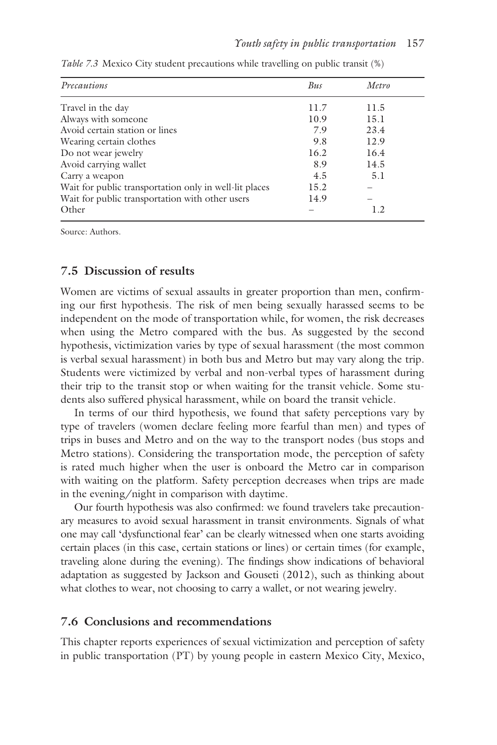| Precautions                                            | Bus  | Metro |  |
|--------------------------------------------------------|------|-------|--|
| Travel in the day                                      | 11.7 | 11.5  |  |
| Always with someone                                    | 10.9 | 15.1  |  |
| Avoid certain station or lines                         | 7.9  | 23.4  |  |
| Wearing certain clothes                                | 9.8  | 12.9  |  |
| Do not wear jewelry                                    | 16.2 | 16.4  |  |
| Avoid carrying wallet                                  | 8.9  | 14.5  |  |
| Carry a weapon                                         | 4.5  | 5.1   |  |
| Wait for public transportation only in well-lit places | 15.2 |       |  |
| Wait for public transportation with other users        | 14.9 |       |  |
| Other                                                  |      | 1.2   |  |

*[Table 7.3](#page--1-0)* Mexico City student precautions while travelling on public transit (%)

Source: Authors.

#### **7.5 Discussion of results**

Women are victims of sexual assaults in greater proportion than men, confirming our first hypothesis. The risk of men being sexually harassed seems to be independent on the mode of transportation while, for women, the risk decreases when using the Metro compared with the bus. As suggested by the second hypothesis, victimization varies by type of sexual harassment (the most common is verbal sexual harassment) in both bus and Metro but may vary along the trip. Students were victimized by verbal and non-verbal types of harassment during their trip to the transit stop or when waiting for the transit vehicle. Some students also suffered physical harassment, while on board the transit vehicle.

In terms of our third hypothesis, we found that safety perceptions vary by type of travelers (women declare feeling more fearful than men) and types of trips in buses and Metro and on the way to the transport nodes (bus stops and Metro stations). Considering the transportation mode, the perception of safety is rated much higher when the user is onboard the Metro car in comparison with waiting on the platform. Safety perception decreases when trips are made in the evening/night in comparison with daytime.

Our fourth hypothesis was also confirmed: we found travelers take precautionary measures to avoid sexual harassment in transit environments. Signals of what one may call 'dysfunctional fear' can be clearly witnessed when one starts avoiding certain places (in this case, certain stations or lines) or certain times (for example, traveling alone during the evening). The findings show indications of behavioral adaptation as suggested by Jackson and Gouseti (2012), such as thinking about what clothes to wear, not choosing to carry a wallet, or not wearing jewelry.

#### **7.6 Conclusions and recommendations**

This chapter reports experiences of sexual victimization and perception of safety in public transportation (PT) by young people in eastern Mexico City, Mexico,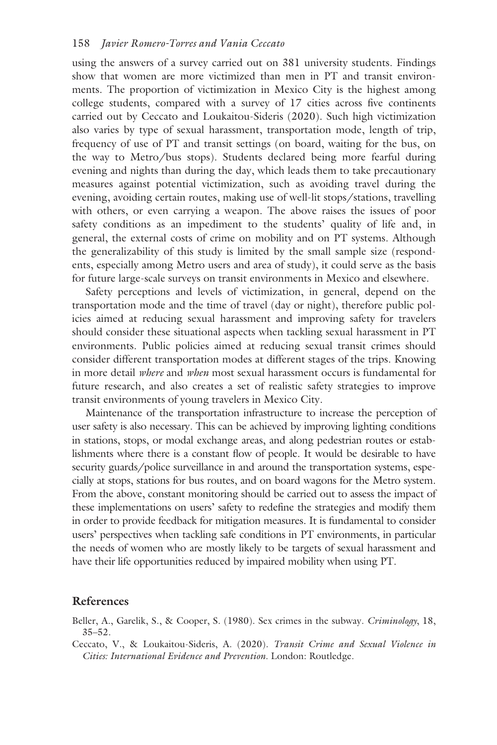using the answers of a survey carried out on 381 university students. Findings show that women are more victimized than men in PT and transit environments. The proportion of victimization in Mexico City is the highest among college students, compared with a survey of 17 cities across five continents carried out by Ceccato and Loukaitou-Sideris (2020). Such high victimization also varies by type of sexual harassment, transportation mode, length of trip, frequency of use of PT and transit settings (on board, waiting for the bus, on the way to Metro/bus stops). Students declared being more fearful during evening and nights than during the day, which leads them to take precautionary measures against potential victimization, such as avoiding travel during the evening, avoiding certain routes, making use of well-lit stops/stations, travelling with others, or even carrying a weapon. The above raises the issues of poor safety conditions as an impediment to the students' quality of life and, in general, the external costs of crime on mobility and on PT systems. Although the generalizability of this study is limited by the small sample size (respondents, especially among Metro users and area of study), it could serve as the basis for future large-scale surveys on transit environments in Mexico and elsewhere.

Safety perceptions and levels of victimization, in general, depend on the transportation mode and the time of travel (day or night), therefore public policies aimed at reducing sexual harassment and improving safety for travelers should consider these situational aspects when tackling sexual harassment in PT environments. Public policies aimed at reducing sexual transit crimes should consider different transportation modes at different stages of the trips. Knowing in more detail *where* and *when* most sexual harassment occurs is fundamental for future research, and also creates a set of realistic safety strategies to improve transit environments of young travelers in Mexico City.

Maintenance of the transportation infrastructure to increase the perception of user safety is also necessary. This can be achieved by improving lighting conditions in stations, stops, or modal exchange areas, and along pedestrian routes or establishments where there is a constant flow of people. It would be desirable to have security guards/police surveillance in and around the transportation systems, especially at stops, stations for bus routes, and on board wagons for the Metro system. From the above, constant monitoring should be carried out to assess the impact of these implementations on users' safety to redefine the strategies and modify them in order to provide feedback for mitigation measures. It is fundamental to consider users' perspectives when tackling safe conditions in PT environments, in particular the needs of women who are mostly likely to be targets of sexual harassment and have their life opportunities reduced by impaired mobility when using PT.

#### **References**

Beller, A., Garelik, S., & Cooper, S. (1980). Sex crimes in the subway. *Criminology*, 18, 35–52.

Ceccato, V., & Loukaitou-Sideris, A. (2020). *Transit Crime and Sexual Violence in Cities: International Evidence and Prevention*. London: Routledge.